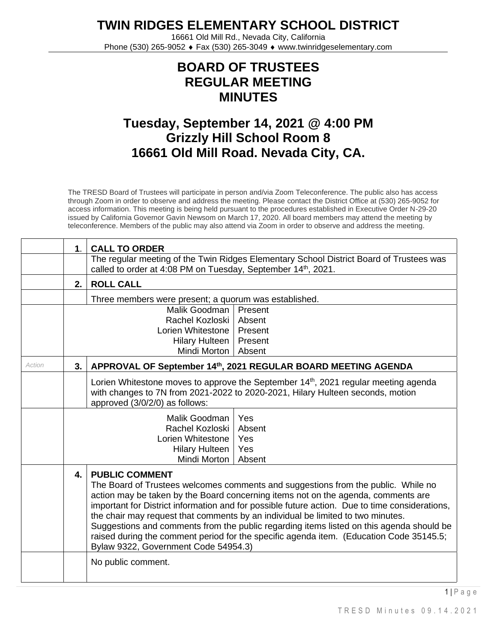**TWIN RIDGES ELEMENTARY SCHOOL DISTRICT**

16661 Old Mill Rd., Nevada City, California Phone (530) 265-9052 ♦ Fax (530) 265-3049 ♦ www.twinridgeselementary.com

## **BOARD OF TRUSTEES REGULAR MEETING MINUTES**

## **Tuesday, September 14, 2021 @ 4:00 PM Grizzly Hill School Room 8 16661 Old Mill Road. Nevada City, CA.**

The TRESD Board of Trustees will participate in person and/via Zoom Teleconference. The public also has access through Zoom in order to observe and address the meeting. Please contact the District Office at (530) 265-9052 for access information. This meeting is being held pursuant to the procedures established in Executive Order N-29-20 issued by California Governor Gavin Newsom on March 17, 2020. All board members may attend the meeting by teleconference. Members of the public may also attend via Zoom in order to observe and address the meeting.

|        | 1.                                                                                                                                                                                                                  | <b>CALL TO ORDER</b>                                                                                                                                                                                                                                                                                                                                                                                                                                                                                                                                                                                                                      |  |  |  |
|--------|---------------------------------------------------------------------------------------------------------------------------------------------------------------------------------------------------------------------|-------------------------------------------------------------------------------------------------------------------------------------------------------------------------------------------------------------------------------------------------------------------------------------------------------------------------------------------------------------------------------------------------------------------------------------------------------------------------------------------------------------------------------------------------------------------------------------------------------------------------------------------|--|--|--|
|        |                                                                                                                                                                                                                     | The regular meeting of the Twin Ridges Elementary School District Board of Trustees was<br>called to order at 4:08 PM on Tuesday, September 14 <sup>th</sup> , 2021.                                                                                                                                                                                                                                                                                                                                                                                                                                                                      |  |  |  |
|        | 2.                                                                                                                                                                                                                  | <b>ROLL CALL</b>                                                                                                                                                                                                                                                                                                                                                                                                                                                                                                                                                                                                                          |  |  |  |
|        |                                                                                                                                                                                                                     | Three members were present; a quorum was established.                                                                                                                                                                                                                                                                                                                                                                                                                                                                                                                                                                                     |  |  |  |
|        |                                                                                                                                                                                                                     | Malik Goodman<br>Present<br>Rachel Kozloski<br>Absent<br>Lorien Whitestone<br>Present<br><b>Hilary Hulteen</b><br>Present<br>Mindi Morton<br>Absent                                                                                                                                                                                                                                                                                                                                                                                                                                                                                       |  |  |  |
| Action | APPROVAL OF September 14th, 2021 REGULAR BOARD MEETING AGENDA<br>3.                                                                                                                                                 |                                                                                                                                                                                                                                                                                                                                                                                                                                                                                                                                                                                                                                           |  |  |  |
|        | Lorien Whitestone moves to approve the September 14 <sup>th</sup> , 2021 regular meeting agenda<br>with changes to 7N from 2021-2022 to 2020-2021, Hilary Hulteen seconds, motion<br>approved (3/0/2/0) as follows: |                                                                                                                                                                                                                                                                                                                                                                                                                                                                                                                                                                                                                                           |  |  |  |
|        |                                                                                                                                                                                                                     | Malik Goodman<br>Yes<br>Rachel Kozloski<br>Absent<br>Yes<br>Lorien Whitestone<br>Yes<br><b>Hilary Hulteen</b><br>Mindi Morton<br>Absent                                                                                                                                                                                                                                                                                                                                                                                                                                                                                                   |  |  |  |
|        | 4.                                                                                                                                                                                                                  | <b>PUBLIC COMMENT</b><br>The Board of Trustees welcomes comments and suggestions from the public. While no<br>action may be taken by the Board concerning items not on the agenda, comments are<br>important for District information and for possible future action. Due to time considerations,<br>the chair may request that comments by an individual be limited to two minutes.<br>Suggestions and comments from the public regarding items listed on this agenda should be<br>raised during the comment period for the specific agenda item. (Education Code 35145.5;<br>Bylaw 9322, Government Code 54954.3)<br>No public comment. |  |  |  |
|        |                                                                                                                                                                                                                     |                                                                                                                                                                                                                                                                                                                                                                                                                                                                                                                                                                                                                                           |  |  |  |

 $1 \mid P$  a g e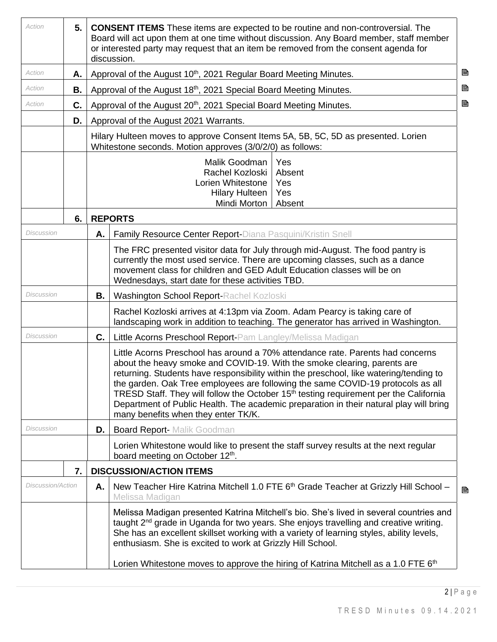| Action                               | 5. | <b>CONSENT ITEMS</b> These items are expected to be routine and non-controversial. The<br>Board will act upon them at one time without discussion. Any Board member, staff member<br>or interested party may request that an item be removed from the consent agenda for<br>discussion.                                                               |                                                                                                                                                                                                                                                                                                                                                                                                                                                                                                                                                                               |              |  |  |
|--------------------------------------|----|-------------------------------------------------------------------------------------------------------------------------------------------------------------------------------------------------------------------------------------------------------------------------------------------------------------------------------------------------------|-------------------------------------------------------------------------------------------------------------------------------------------------------------------------------------------------------------------------------------------------------------------------------------------------------------------------------------------------------------------------------------------------------------------------------------------------------------------------------------------------------------------------------------------------------------------------------|--------------|--|--|
| Action                               | А. |                                                                                                                                                                                                                                                                                                                                                       | Approval of the August 10 <sup>th</sup> , 2021 Regular Board Meeting Minutes.                                                                                                                                                                                                                                                                                                                                                                                                                                                                                                 | B            |  |  |
| Action                               | В. |                                                                                                                                                                                                                                                                                                                                                       | Approval of the August 18th, 2021 Special Board Meeting Minutes.                                                                                                                                                                                                                                                                                                                                                                                                                                                                                                              | B            |  |  |
| Action                               | C. |                                                                                                                                                                                                                                                                                                                                                       | Approval of the August 20 <sup>th</sup> , 2021 Special Board Meeting Minutes.                                                                                                                                                                                                                                                                                                                                                                                                                                                                                                 | B            |  |  |
|                                      | D. |                                                                                                                                                                                                                                                                                                                                                       | Approval of the August 2021 Warrants.                                                                                                                                                                                                                                                                                                                                                                                                                                                                                                                                         |              |  |  |
|                                      |    |                                                                                                                                                                                                                                                                                                                                                       | Hilary Hulteen moves to approve Consent Items 5A, 5B, 5C, 5D as presented. Lorien<br>Whitestone seconds. Motion approves (3/0/2/0) as follows:                                                                                                                                                                                                                                                                                                                                                                                                                                |              |  |  |
|                                      |    |                                                                                                                                                                                                                                                                                                                                                       | Malik Goodman<br>Yes<br>Rachel Kozloski<br>Absent<br>Lorien Whitestone<br>Yes<br><b>Hilary Hulteen</b><br>Yes<br>Mindi Morton<br>Absent                                                                                                                                                                                                                                                                                                                                                                                                                                       |              |  |  |
|                                      | 6. |                                                                                                                                                                                                                                                                                                                                                       | <b>REPORTS</b>                                                                                                                                                                                                                                                                                                                                                                                                                                                                                                                                                                |              |  |  |
| Discussion                           |    | Α.                                                                                                                                                                                                                                                                                                                                                    | Family Resource Center Report-Diana Pasquini/Kristin Snell                                                                                                                                                                                                                                                                                                                                                                                                                                                                                                                    |              |  |  |
|                                      |    |                                                                                                                                                                                                                                                                                                                                                       | The FRC presented visitor data for July through mid-August. The food pantry is<br>currently the most used service. There are upcoming classes, such as a dance<br>movement class for children and GED Adult Education classes will be on<br>Wednesdays, start date for these activities TBD.                                                                                                                                                                                                                                                                                  |              |  |  |
| Discussion                           |    | В.                                                                                                                                                                                                                                                                                                                                                    | <b>Washington School Report-Rachel Kozloski</b>                                                                                                                                                                                                                                                                                                                                                                                                                                                                                                                               |              |  |  |
|                                      |    |                                                                                                                                                                                                                                                                                                                                                       | Rachel Kozloski arrives at 4:13pm via Zoom. Adam Pearcy is taking care of<br>landscaping work in addition to teaching. The generator has arrived in Washington.                                                                                                                                                                                                                                                                                                                                                                                                               |              |  |  |
| Discussion<br>$c_{\cdot}$            |    |                                                                                                                                                                                                                                                                                                                                                       | Little Acorns Preschool Report-Pam Langley/Melissa Madigan                                                                                                                                                                                                                                                                                                                                                                                                                                                                                                                    |              |  |  |
|                                      |    |                                                                                                                                                                                                                                                                                                                                                       | Little Acorns Preschool has around a 70% attendance rate. Parents had concerns<br>about the heavy smoke and COVID-19. With the smoke clearing, parents are<br>returning. Students have responsibility within the preschool, like watering/tending to<br>the garden. Oak Tree employees are following the same COVID-19 protocols as all<br>TRESD Staff. They will follow the October 15 <sup>th</sup> testing requirement per the California<br>Department of Public Health. The academic preparation in their natural play will bring<br>many benefits when they enter TK/K. |              |  |  |
| Discussion                           |    | D.                                                                                                                                                                                                                                                                                                                                                    | <b>Board Report- Malik Goodman</b>                                                                                                                                                                                                                                                                                                                                                                                                                                                                                                                                            |              |  |  |
|                                      |    |                                                                                                                                                                                                                                                                                                                                                       | Lorien Whitestone would like to present the staff survey results at the next regular<br>board meeting on October 12th.                                                                                                                                                                                                                                                                                                                                                                                                                                                        |              |  |  |
| <b>DISCUSSION/ACTION ITEMS</b><br>7. |    |                                                                                                                                                                                                                                                                                                                                                       |                                                                                                                                                                                                                                                                                                                                                                                                                                                                                                                                                                               |              |  |  |
| <i>Discussion/Action</i>             |    | Α.                                                                                                                                                                                                                                                                                                                                                    | New Teacher Hire Katrina Mitchell 1.0 FTE 6 <sup>th</sup> Grade Teacher at Grizzly Hill School -<br>Melissa Madigan                                                                                                                                                                                                                                                                                                                                                                                                                                                           | $\mathbf{B}$ |  |  |
|                                      |    | Melissa Madigan presented Katrina Mitchell's bio. She's lived in several countries and<br>taught 2 <sup>nd</sup> grade in Uganda for two years. She enjoys travelling and creative writing.<br>She has an excellent skillset working with a variety of learning styles, ability levels,<br>enthusiasm. She is excited to work at Grizzly Hill School. |                                                                                                                                                                                                                                                                                                                                                                                                                                                                                                                                                                               |              |  |  |
|                                      |    |                                                                                                                                                                                                                                                                                                                                                       | Lorien Whitestone moves to approve the hiring of Katrina Mitchell as a 1.0 FTE 6th                                                                                                                                                                                                                                                                                                                                                                                                                                                                                            |              |  |  |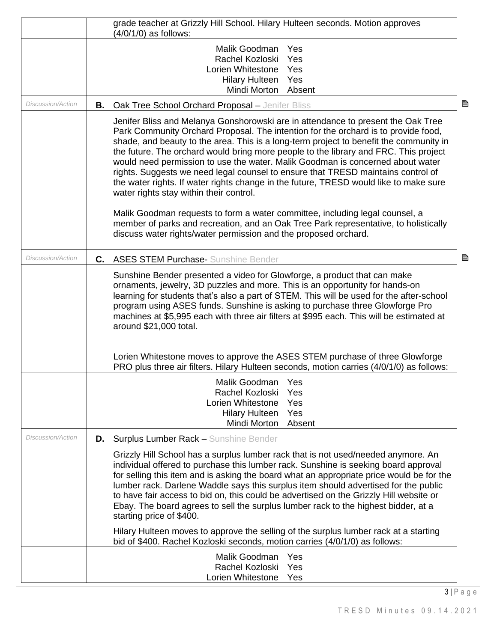|                          |    | grade teacher at Grizzly Hill School. Hilary Hulteen seconds. Motion approves<br>(4/0/1/0) as follows:                                                                                                                                                                                                                                                                                                                                                                                                                                                                                                                                                                                                                                         |  |  |
|--------------------------|----|------------------------------------------------------------------------------------------------------------------------------------------------------------------------------------------------------------------------------------------------------------------------------------------------------------------------------------------------------------------------------------------------------------------------------------------------------------------------------------------------------------------------------------------------------------------------------------------------------------------------------------------------------------------------------------------------------------------------------------------------|--|--|
|                          |    | Malik Goodman<br>Yes<br>Rachel Kozloski<br>Yes<br>Lorien Whitestone<br>Yes<br><b>Hilary Hulteen</b><br>Yes<br>Mindi Morton<br>Absent                                                                                                                                                                                                                                                                                                                                                                                                                                                                                                                                                                                                           |  |  |
| <b>Discussion/Action</b> | В. | ₿<br>Oak Tree School Orchard Proposal - Jenifer Bliss                                                                                                                                                                                                                                                                                                                                                                                                                                                                                                                                                                                                                                                                                          |  |  |
|                          |    | Jenifer Bliss and Melanya Gonshorowski are in attendance to present the Oak Tree<br>Park Community Orchard Proposal. The intention for the orchard is to provide food,<br>shade, and beauty to the area. This is a long-term project to benefit the community in<br>the future. The orchard would bring more people to the library and FRC. This project<br>would need permission to use the water. Malik Goodman is concerned about water<br>rights. Suggests we need legal counsel to ensure that TRESD maintains control of<br>the water rights. If water rights change in the future, TRESD would like to make sure<br>water rights stay within their control.                                                                             |  |  |
|                          |    | Malik Goodman requests to form a water committee, including legal counsel, a<br>member of parks and recreation, and an Oak Tree Park representative, to holistically<br>discuss water rights/water permission and the proposed orchard.                                                                                                                                                                                                                                                                                                                                                                                                                                                                                                        |  |  |
| <b>Discussion/Action</b> | C. | B<br><b>ASES STEM Purchase- Sunshine Bender</b>                                                                                                                                                                                                                                                                                                                                                                                                                                                                                                                                                                                                                                                                                                |  |  |
|                          |    | Sunshine Bender presented a video for Glowforge, a product that can make<br>ornaments, jewelry, 3D puzzles and more. This is an opportunity for hands-on<br>learning for students that's also a part of STEM. This will be used for the after-school<br>program using ASES funds. Sunshine is asking to purchase three Glowforge Pro<br>machines at \$5,995 each with three air filters at \$995 each. This will be estimated at<br>around \$21,000 total.                                                                                                                                                                                                                                                                                     |  |  |
|                          |    | Lorien Whitestone moves to approve the ASES STEM purchase of three Glowforge<br>PRO plus three air filters. Hilary Hulteen seconds, motion carries (4/0/1/0) as follows:                                                                                                                                                                                                                                                                                                                                                                                                                                                                                                                                                                       |  |  |
|                          |    | Malik Goodman   Yes<br>Rachel Kozloski<br>Yes<br>Lorien Whitestone<br>Yes<br>Yes<br><b>Hilary Hulteen</b><br>Mindi Morton<br>Absent                                                                                                                                                                                                                                                                                                                                                                                                                                                                                                                                                                                                            |  |  |
| Discussion/Action        | D. | <b>Surplus Lumber Rack - Sunshine Bender</b>                                                                                                                                                                                                                                                                                                                                                                                                                                                                                                                                                                                                                                                                                                   |  |  |
|                          |    | Grizzly Hill School has a surplus lumber rack that is not used/needed anymore. An<br>individual offered to purchase this lumber rack. Sunshine is seeking board approval<br>for selling this item and is asking the board what an appropriate price would be for the<br>lumber rack. Darlene Waddle says this surplus item should advertised for the public<br>to have fair access to bid on, this could be advertised on the Grizzly Hill website or<br>Ebay. The board agrees to sell the surplus lumber rack to the highest bidder, at a<br>starting price of \$400.<br>Hilary Hulteen moves to approve the selling of the surplus lumber rack at a starting<br>bid of \$400. Rachel Kozloski seconds, motion carries (4/0/1/0) as follows: |  |  |
|                          |    |                                                                                                                                                                                                                                                                                                                                                                                                                                                                                                                                                                                                                                                                                                                                                |  |  |
|                          |    | Malik Goodman<br>Yes<br>Rachel Kozloski<br>Yes<br>Lorien Whitestone<br>Yes                                                                                                                                                                                                                                                                                                                                                                                                                                                                                                                                                                                                                                                                     |  |  |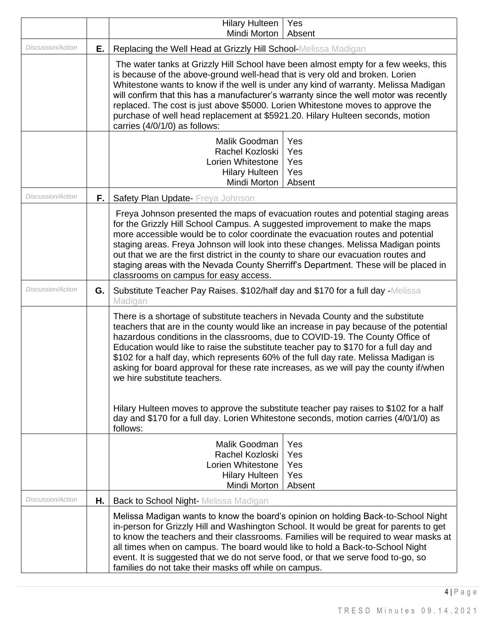|                          |    | <b>Hilary Hulteen</b><br>Yes<br>Mindi Morton<br>Absent                                                                                                                                                                                                                                                                                                                                                                                                                                                                                                            |  |  |  |
|--------------------------|----|-------------------------------------------------------------------------------------------------------------------------------------------------------------------------------------------------------------------------------------------------------------------------------------------------------------------------------------------------------------------------------------------------------------------------------------------------------------------------------------------------------------------------------------------------------------------|--|--|--|
| Discussion/Action        | Е. | Replacing the Well Head at Grizzly Hill School-Melissa Madigan                                                                                                                                                                                                                                                                                                                                                                                                                                                                                                    |  |  |  |
|                          |    | The water tanks at Grizzly Hill School have been almost empty for a few weeks, this<br>is because of the above-ground well-head that is very old and broken. Lorien<br>Whitestone wants to know if the well is under any kind of warranty. Melissa Madigan<br>will confirm that this has a manufacturer's warranty since the well motor was recently<br>replaced. The cost is just above \$5000. Lorien Whitestone moves to approve the<br>purchase of well head replacement at \$5921.20. Hilary Hulteen seconds, motion<br>carries (4/0/1/0) as follows:        |  |  |  |
|                          |    | Malik Goodman<br>Yes<br>Rachel Kozloski<br>Yes<br>Lorien Whitestone<br>Yes<br><b>Hilary Hulteen</b><br>Yes<br>Mindi Morton<br>Absent                                                                                                                                                                                                                                                                                                                                                                                                                              |  |  |  |
| <b>Discussion/Action</b> | F. | Safety Plan Update- Freya Johnson                                                                                                                                                                                                                                                                                                                                                                                                                                                                                                                                 |  |  |  |
|                          |    | Freya Johnson presented the maps of evacuation routes and potential staging areas<br>for the Grizzly Hill School Campus. A suggested improvement to make the maps<br>more accessible would be to color coordinate the evacuation routes and potential<br>staging areas. Freya Johnson will look into these changes. Melissa Madigan points<br>out that we are the first district in the county to share our evacuation routes and<br>staging areas with the Nevada County Sherriff's Department. These will be placed in<br>classrooms on campus for easy access. |  |  |  |
| Discussion/Action        | G. | Substitute Teacher Pay Raises. \$102/half day and \$170 for a full day -Melissa<br>Madigan                                                                                                                                                                                                                                                                                                                                                                                                                                                                        |  |  |  |
|                          |    | There is a shortage of substitute teachers in Nevada County and the substitute<br>teachers that are in the county would like an increase in pay because of the potential<br>hazardous conditions in the classrooms, due to COVID-19. The County Office of<br>Education would like to raise the substitute teacher pay to \$170 for a full day and<br>\$102 for a half day, which represents 60% of the full day rate. Melissa Madigan is<br>asking for board approval for these rate increases, as we will pay the county if/when<br>we hire substitute teachers. |  |  |  |
|                          |    | Hilary Hulteen moves to approve the substitute teacher pay raises to \$102 for a half<br>day and \$170 for a full day. Lorien Whitestone seconds, motion carries (4/0/1/0) as<br>follows:                                                                                                                                                                                                                                                                                                                                                                         |  |  |  |
|                          |    | Malik Goodman<br>Yes<br>Rachel Kozloski<br>Yes<br>Yes<br>Lorien Whitestone<br><b>Hilary Hulteen</b><br>Yes<br>Mindi Morton<br>Absent                                                                                                                                                                                                                                                                                                                                                                                                                              |  |  |  |
| Discussion/Action        | Η. | <b>Back to School Night-</b> Melissa Madigan                                                                                                                                                                                                                                                                                                                                                                                                                                                                                                                      |  |  |  |
|                          |    | Melissa Madigan wants to know the board's opinion on holding Back-to-School Night<br>in-person for Grizzly Hill and Washington School. It would be great for parents to get<br>to know the teachers and their classrooms. Families will be required to wear masks at<br>all times when on campus. The board would like to hold a Back-to-School Night<br>event. It is suggested that we do not serve food, or that we serve food to-go, so<br>families do not take their masks off while on campus.                                                               |  |  |  |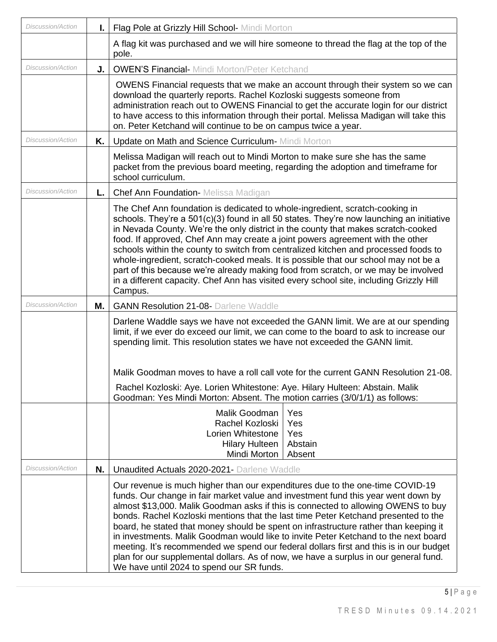| <b>Discussion/Action</b> | L. | Flag Pole at Grizzly Hill School- Mindi Morton                                                                                                                                                                                                                                                                                                                                                                                                                                                                                                                                                                                                                                                                                                              |  |  |
|--------------------------|----|-------------------------------------------------------------------------------------------------------------------------------------------------------------------------------------------------------------------------------------------------------------------------------------------------------------------------------------------------------------------------------------------------------------------------------------------------------------------------------------------------------------------------------------------------------------------------------------------------------------------------------------------------------------------------------------------------------------------------------------------------------------|--|--|
|                          |    | A flag kit was purchased and we will hire someone to thread the flag at the top of the<br>pole.                                                                                                                                                                                                                                                                                                                                                                                                                                                                                                                                                                                                                                                             |  |  |
| Discussion/Action        | J. | <b>OWEN'S Financial- Mindi Morton/Peter Ketchand</b>                                                                                                                                                                                                                                                                                                                                                                                                                                                                                                                                                                                                                                                                                                        |  |  |
|                          |    | OWENS Financial requests that we make an account through their system so we can<br>download the quarterly reports. Rachel Kozloski suggests someone from<br>administration reach out to OWENS Financial to get the accurate login for our district<br>to have access to this information through their portal. Melissa Madigan will take this<br>on. Peter Ketchand will continue to be on campus twice a year.                                                                                                                                                                                                                                                                                                                                             |  |  |
| Discussion/Action        |    | K.   Update on Math and Science Curriculum- Mindi Morton                                                                                                                                                                                                                                                                                                                                                                                                                                                                                                                                                                                                                                                                                                    |  |  |
|                          |    | Melissa Madigan will reach out to Mindi Morton to make sure she has the same<br>packet from the previous board meeting, regarding the adoption and timeframe for<br>school curriculum.                                                                                                                                                                                                                                                                                                                                                                                                                                                                                                                                                                      |  |  |
| Discussion/Action        | L. | <b>Chef Ann Foundation- Melissa Madigan</b>                                                                                                                                                                                                                                                                                                                                                                                                                                                                                                                                                                                                                                                                                                                 |  |  |
|                          |    | The Chef Ann foundation is dedicated to whole-ingredient, scratch-cooking in<br>schools. They're a 501(c)(3) found in all 50 states. They're now launching an initiative<br>in Nevada County. We're the only district in the county that makes scratch-cooked<br>food. If approved, Chef Ann may create a joint powers agreement with the other<br>schools within the county to switch from centralized kitchen and processed foods to<br>whole-ingredient, scratch-cooked meals. It is possible that our school may not be a<br>part of this because we're already making food from scratch, or we may be involved<br>in a different capacity. Chef Ann has visited every school site, including Grizzly Hill<br>Campus.                                   |  |  |
| Discussion/Action        | М. | <b>GANN Resolution 21-08- Darlene Waddle</b>                                                                                                                                                                                                                                                                                                                                                                                                                                                                                                                                                                                                                                                                                                                |  |  |
|                          |    | Darlene Waddle says we have not exceeded the GANN limit. We are at our spending<br>limit, if we ever do exceed our limit, we can come to the board to ask to increase our<br>spending limit. This resolution states we have not exceeded the GANN limit.<br>Malik Goodman moves to have a roll call vote for the current GANN Resolution 21-08.<br>Rachel Kozloski: Aye. Lorien Whitestone: Aye. Hilary Hulteen: Abstain. Malik                                                                                                                                                                                                                                                                                                                             |  |  |
|                          |    | Goodman: Yes Mindi Morton: Absent. The motion carries (3/0/1/1) as follows:                                                                                                                                                                                                                                                                                                                                                                                                                                                                                                                                                                                                                                                                                 |  |  |
|                          |    | Malik Goodman<br>Yes<br>Rachel Kozloski<br>Yes<br>Lorien Whitestone<br>Yes<br><b>Hilary Hulteen</b><br>Abstain<br>Mindi Morton<br>Absent                                                                                                                                                                                                                                                                                                                                                                                                                                                                                                                                                                                                                    |  |  |
| Discussion/Action        | Ν. | Unaudited Actuals 2020-2021- Darlene Waddle                                                                                                                                                                                                                                                                                                                                                                                                                                                                                                                                                                                                                                                                                                                 |  |  |
|                          |    | Our revenue is much higher than our expenditures due to the one-time COVID-19<br>funds. Our change in fair market value and investment fund this year went down by<br>almost \$13,000. Malik Goodman asks if this is connected to allowing OWENS to buy<br>bonds. Rachel Kozloski mentions that the last time Peter Ketchand presented to the<br>board, he stated that money should be spent on infrastructure rather than keeping it<br>in investments. Malik Goodman would like to invite Peter Ketchand to the next board<br>meeting. It's recommended we spend our federal dollars first and this is in our budget<br>plan for our supplemental dollars. As of now, we have a surplus in our general fund.<br>We have until 2024 to spend our SR funds. |  |  |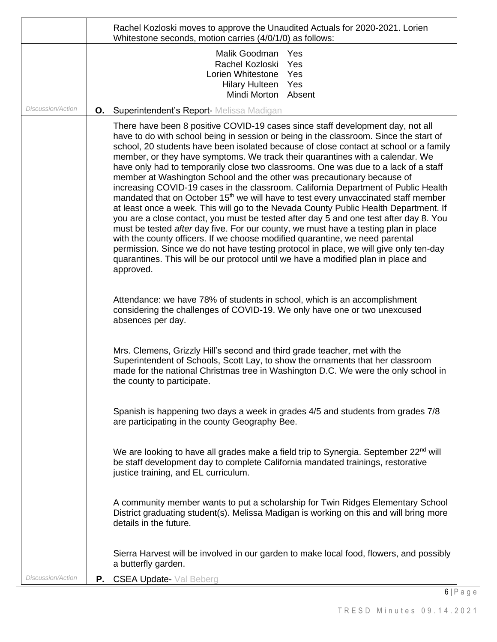|                          |    | Rachel Kozloski moves to approve the Unaudited Actuals for 2020-2021. Lorien<br>Whitestone seconds, motion carries (4/0/1/0) as follows:                                                                                                                                                                                                                                                                                                                                                                                                                                                                                                                                                                                                                                                                                                                                                                                                                                                                                                                                                                                                                                                                                                                                                                                                                                                                                                                                                                                                                                                                                                                                                                                                                                                                                                                                                                                                                                                                                                                                                                                                                                               |  |
|--------------------------|----|----------------------------------------------------------------------------------------------------------------------------------------------------------------------------------------------------------------------------------------------------------------------------------------------------------------------------------------------------------------------------------------------------------------------------------------------------------------------------------------------------------------------------------------------------------------------------------------------------------------------------------------------------------------------------------------------------------------------------------------------------------------------------------------------------------------------------------------------------------------------------------------------------------------------------------------------------------------------------------------------------------------------------------------------------------------------------------------------------------------------------------------------------------------------------------------------------------------------------------------------------------------------------------------------------------------------------------------------------------------------------------------------------------------------------------------------------------------------------------------------------------------------------------------------------------------------------------------------------------------------------------------------------------------------------------------------------------------------------------------------------------------------------------------------------------------------------------------------------------------------------------------------------------------------------------------------------------------------------------------------------------------------------------------------------------------------------------------------------------------------------------------------------------------------------------------|--|
|                          |    | Yes<br>Malik Goodman<br>Rachel Kozloski<br>Yes<br>Lorien Whitestone<br>Yes<br><b>Hilary Hulteen</b><br>Yes<br>Mindi Morton<br>Absent                                                                                                                                                                                                                                                                                                                                                                                                                                                                                                                                                                                                                                                                                                                                                                                                                                                                                                                                                                                                                                                                                                                                                                                                                                                                                                                                                                                                                                                                                                                                                                                                                                                                                                                                                                                                                                                                                                                                                                                                                                                   |  |
| <b>Discussion/Action</b> | О. | Superintendent's Report- Melissa Madigan                                                                                                                                                                                                                                                                                                                                                                                                                                                                                                                                                                                                                                                                                                                                                                                                                                                                                                                                                                                                                                                                                                                                                                                                                                                                                                                                                                                                                                                                                                                                                                                                                                                                                                                                                                                                                                                                                                                                                                                                                                                                                                                                               |  |
|                          |    | There have been 8 positive COVID-19 cases since staff development day, not all<br>have to do with school being in session or being in the classroom. Since the start of<br>school, 20 students have been isolated because of close contact at school or a family<br>member, or they have symptoms. We track their quarantines with a calendar. We<br>have only had to temporarily close two classrooms. One was due to a lack of a staff<br>member at Washington School and the other was precautionary because of<br>increasing COVID-19 cases in the classroom. California Department of Public Health<br>mandated that on October 15 <sup>th</sup> we will have to test every unvaccinated staff member<br>at least once a week. This will go to the Nevada County Public Health Department. If<br>you are a close contact, you must be tested after day 5 and one test after day 8. You<br>must be tested after day five. For our county, we must have a testing plan in place<br>with the county officers. If we choose modified quarantine, we need parental<br>permission. Since we do not have testing protocol in place, we will give only ten-day<br>quarantines. This will be our protocol until we have a modified plan in place and<br>approved.<br>Attendance: we have 78% of students in school, which is an accomplishment<br>considering the challenges of COVID-19. We only have one or two unexcused<br>absences per day.<br>Mrs. Clemens, Grizzly Hill's second and third grade teacher, met with the<br>Superintendent of Schools, Scott Lay, to show the ornaments that her classroom<br>made for the national Christmas tree in Washington D.C. We were the only school in<br>the county to participate.<br>Spanish is happening two days a week in grades 4/5 and students from grades 7/8<br>are participating in the county Geography Bee.<br>We are looking to have all grades make a field trip to Synergia. September 22 <sup>nd</sup> will<br>be staff development day to complete California mandated trainings, restorative<br>justice training, and EL curriculum.<br>A community member wants to put a scholarship for Twin Ridges Elementary School |  |
|                          |    | District graduating student(s). Melissa Madigan is working on this and will bring more<br>details in the future.<br>Sierra Harvest will be involved in our garden to make local food, flowers, and possibly                                                                                                                                                                                                                                                                                                                                                                                                                                                                                                                                                                                                                                                                                                                                                                                                                                                                                                                                                                                                                                                                                                                                                                                                                                                                                                                                                                                                                                                                                                                                                                                                                                                                                                                                                                                                                                                                                                                                                                            |  |
|                          |    | a butterfly garden.                                                                                                                                                                                                                                                                                                                                                                                                                                                                                                                                                                                                                                                                                                                                                                                                                                                                                                                                                                                                                                                                                                                                                                                                                                                                                                                                                                                                                                                                                                                                                                                                                                                                                                                                                                                                                                                                                                                                                                                                                                                                                                                                                                    |  |
| <b>Discussion/Action</b> | Ρ. | <b>CSEA Update-</b> Val Beberg                                                                                                                                                                                                                                                                                                                                                                                                                                                                                                                                                                                                                                                                                                                                                                                                                                                                                                                                                                                                                                                                                                                                                                                                                                                                                                                                                                                                                                                                                                                                                                                                                                                                                                                                                                                                                                                                                                                                                                                                                                                                                                                                                         |  |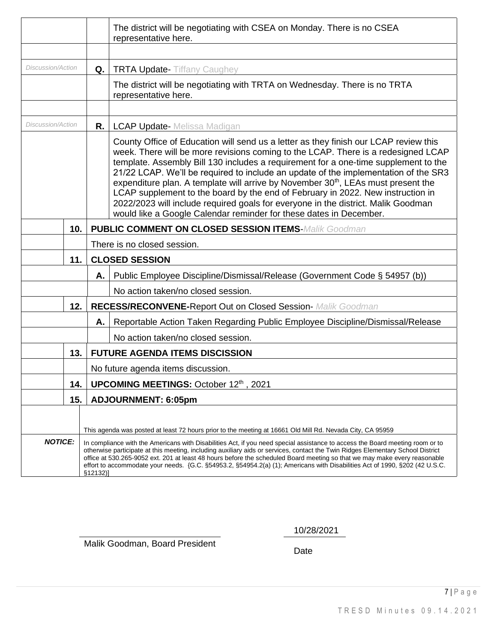|                                                                                                   | The district will be negotiating with CSEA on Monday. There is no CSEA<br>representative here. |                                              |                                                                                                                                                                                                                                                                                                                                                                                                                                                                                                                                                                                                                                                                                                        |  |  |
|---------------------------------------------------------------------------------------------------|------------------------------------------------------------------------------------------------|----------------------------------------------|--------------------------------------------------------------------------------------------------------------------------------------------------------------------------------------------------------------------------------------------------------------------------------------------------------------------------------------------------------------------------------------------------------------------------------------------------------------------------------------------------------------------------------------------------------------------------------------------------------------------------------------------------------------------------------------------------------|--|--|
|                                                                                                   |                                                                                                |                                              |                                                                                                                                                                                                                                                                                                                                                                                                                                                                                                                                                                                                                                                                                                        |  |  |
| Discussion/Action                                                                                 |                                                                                                | Q.                                           | <b>TRTA Update-</b> Tiffany Caughey                                                                                                                                                                                                                                                                                                                                                                                                                                                                                                                                                                                                                                                                    |  |  |
| The district will be negotiating with TRTA on Wednesday. There is no TRTA<br>representative here. |                                                                                                |                                              |                                                                                                                                                                                                                                                                                                                                                                                                                                                                                                                                                                                                                                                                                                        |  |  |
|                                                                                                   |                                                                                                |                                              |                                                                                                                                                                                                                                                                                                                                                                                                                                                                                                                                                                                                                                                                                                        |  |  |
| Discussion/Action                                                                                 |                                                                                                |                                              | R.   LCAP Update- Melissa Madigan                                                                                                                                                                                                                                                                                                                                                                                                                                                                                                                                                                                                                                                                      |  |  |
|                                                                                                   |                                                                                                |                                              | County Office of Education will send us a letter as they finish our LCAP review this<br>week. There will be more revisions coming to the LCAP. There is a redesigned LCAP<br>template. Assembly Bill 130 includes a requirement for a one-time supplement to the<br>21/22 LCAP. We'll be required to include an update of the implementation of the SR3<br>expenditure plan. A template will arrive by November 30 <sup>th</sup> , LEAs must present the<br>LCAP supplement to the board by the end of February in 2022. New instruction in<br>2022/2023 will include required goals for everyone in the district. Malik Goodman<br>would like a Google Calendar reminder for these dates in December. |  |  |
|                                                                                                   | 10 <sub>1</sub>                                                                                |                                              | <b>PUBLIC COMMENT ON CLOSED SESSION ITEMS-Malik Goodman</b>                                                                                                                                                                                                                                                                                                                                                                                                                                                                                                                                                                                                                                            |  |  |
|                                                                                                   |                                                                                                |                                              | There is no closed session.                                                                                                                                                                                                                                                                                                                                                                                                                                                                                                                                                                                                                                                                            |  |  |
|                                                                                                   | 11.1                                                                                           |                                              | <b>CLOSED SESSION</b>                                                                                                                                                                                                                                                                                                                                                                                                                                                                                                                                                                                                                                                                                  |  |  |
| Public Employee Discipline/Dismissal/Release (Government Code § 54957 (b))<br>A. I                |                                                                                                |                                              |                                                                                                                                                                                                                                                                                                                                                                                                                                                                                                                                                                                                                                                                                                        |  |  |
| No action taken/no closed session.                                                                |                                                                                                |                                              |                                                                                                                                                                                                                                                                                                                                                                                                                                                                                                                                                                                                                                                                                                        |  |  |
|                                                                                                   | 12.                                                                                            |                                              | RECESS/RECONVENE-Report Out on Closed Session- Malik Goodman                                                                                                                                                                                                                                                                                                                                                                                                                                                                                                                                                                                                                                           |  |  |
|                                                                                                   |                                                                                                | А.                                           | Reportable Action Taken Regarding Public Employee Discipline/Dismissal/Release                                                                                                                                                                                                                                                                                                                                                                                                                                                                                                                                                                                                                         |  |  |
|                                                                                                   |                                                                                                |                                              | No action taken/no closed session.                                                                                                                                                                                                                                                                                                                                                                                                                                                                                                                                                                                                                                                                     |  |  |
| 13.<br><b>FUTURE AGENDA ITEMS DISCISSION</b>                                                      |                                                                                                |                                              |                                                                                                                                                                                                                                                                                                                                                                                                                                                                                                                                                                                                                                                                                                        |  |  |
|                                                                                                   |                                                                                                |                                              | No future agenda items discussion.                                                                                                                                                                                                                                                                                                                                                                                                                                                                                                                                                                                                                                                                     |  |  |
|                                                                                                   | 14.                                                                                            | <b>UPCOMING MEETINGS: October 12th, 2021</b> |                                                                                                                                                                                                                                                                                                                                                                                                                                                                                                                                                                                                                                                                                                        |  |  |
|                                                                                                   | 15.                                                                                            |                                              | <b>ADJOURNMENT: 6:05pm</b>                                                                                                                                                                                                                                                                                                                                                                                                                                                                                                                                                                                                                                                                             |  |  |
|                                                                                                   |                                                                                                |                                              | This agenda was posted at least 72 hours prior to the meeting at 16661 Old Mill Rd. Nevada City, CA 95959                                                                                                                                                                                                                                                                                                                                                                                                                                                                                                                                                                                              |  |  |
| <b>NOTICE:</b>                                                                                    |                                                                                                | \$12132]                                     | In compliance with the Americans with Disabilities Act, if you need special assistance to access the Board meeting room or to<br>otherwise participate at this meeting, including auxiliary aids or services, contact the Twin Ridges Elementary School District<br>office at 530.265-9052 ext. 201 at least 48 hours before the scheduled Board meeting so that we may make every reasonable<br>effort to accommodate your needs. {G.C. §54953.2, §54954.2(a) (1); Americans with Disabilities Act of 1990, §202 (42 U.S.C.                                                                                                                                                                           |  |  |

Malik Goodman, Board President

10/28/2021

Date